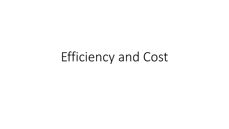## Efficiency and Cost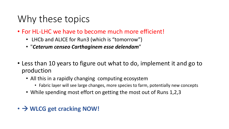## Why these topics

- For HL-LHC we have to become much more efficient!
	- LHCb and ALICE for Run3 (which is "tomorrow")
	- "*Ceterum censeo Carthaginem esse delendam*"
- Less than 10 years to figure out what to do, implement it and go to production
	- All this in a rapidly changing computing ecosystem
		- Fabric layer will see large changes, more species to farm, potentially new concepts
	- While spending most effort on getting the most out of Runs 1,2,3
- $\rightarrow$  WLCG get cracking NOW!